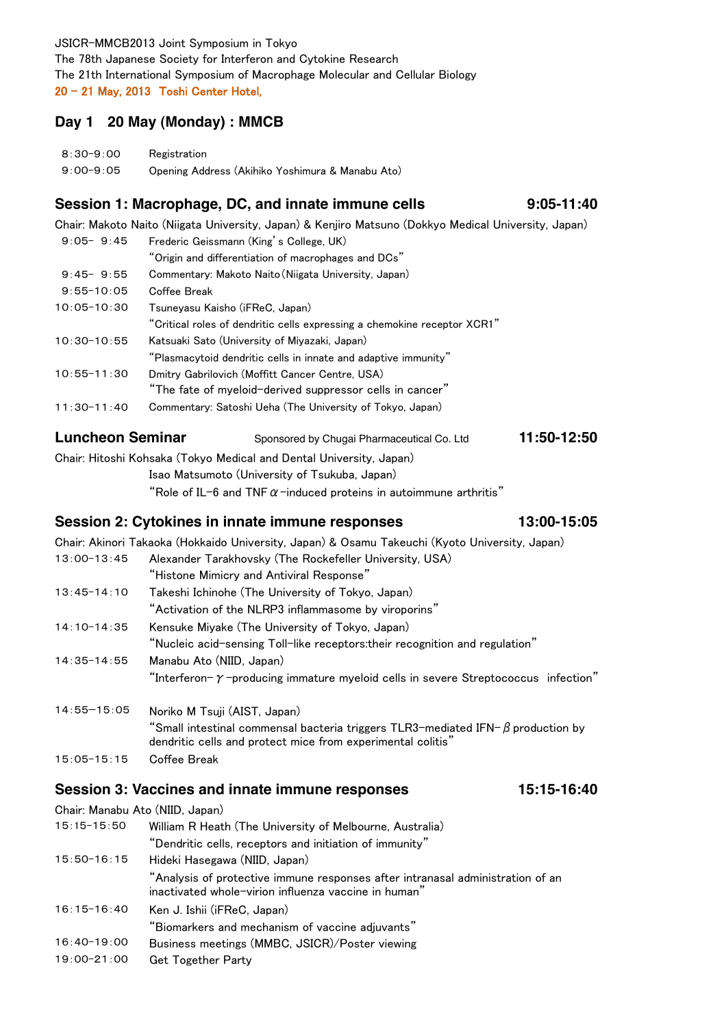JSICR-MMCB2013 Joint Symposium in Tokyo The 78th Japanese Society for Interferon and Cytokine Research The 21th International Symposium of Macrophage Molecular and Cellular Biology 20 ‒ 21 May, 2013 Toshi Center Hotel,

## **Day 1 20 May (Monday) : MMCB**

| $8:30 - 9:00$ | Registration                                     |
|---------------|--------------------------------------------------|
| $9:00 - 9:05$ | Opening Address (Akihiko Yoshimura & Manabu Ato) |

## **Session 1: Macrophage, DC, and innate immune cells**

Chair: Makoto Naito (Niigata University, Japan) & Kenjiro Matsuno (Dokkyo Medical University, Japan)

**9:05-11:40**

**11:50-12:50**

| $9:05 - 9:45$   | Frederic Geissmann (King's College, UK)                                  |
|-----------------|--------------------------------------------------------------------------|
|                 | "Origin and differentiation of macrophages and DCs"                      |
| $9:45 - 9:55$   | Commentary: Makoto Naito (Niigata University, Japan)                     |
| $9:55 - 10:05$  | Coffee Break                                                             |
| $10:05 - 10:30$ | Tsuneyasu Kaisho (iFReC, Japan)                                          |
|                 | "Critical roles of dendritic cells expressing a chemokine receptor XCR1" |
| $10:30-10:55$   | Katsuaki Sato (University of Miyazaki, Japan)                            |
|                 | "Plasmacytoid dendritic cells in innate and adaptive immunity"           |
| $10:55 - 11:30$ | Dmitry Gabrilovich (Moffitt Cancer Centre, USA)                          |
|                 | "The fate of myeloid-derived suppressor cells in cancer"                 |
| $11:30-11:40$   | Commentary: Satoshi Ueha (The University of Tokyo, Japan)                |
|                 |                                                                          |

#### **Luncheon Seminar** Sponsored by Chugai Pharmaceutical Co. Ltd

Chair: Hitoshi Kohsaka (Tokyo Medical and Dental University, Japan) Isao Matsumoto (University of Tsukuba, Japan)

"Role of IL-6 and TNF  $\alpha$ -induced proteins in autoimmune arthritis"

### **Session 2: Cytokines in innate immune responses 13:00-15:05**

|                 | Chair: Akinori Takaoka (Hokkaido University, Japan) & Osamu Takeuchi (Kyoto University, Japan)                                                        |
|-----------------|-------------------------------------------------------------------------------------------------------------------------------------------------------|
| $13:00 - 13:45$ | Alexander Tarakhovsky (The Rockefeller University, USA)                                                                                               |
|                 | "Histone Mimicry and Antiviral Response"                                                                                                              |
| $13:45 - 14:10$ | Takeshi Ichinohe (The University of Tokyo, Japan)                                                                                                     |
|                 | "Activation of the NLRP3 inflammasome by viroporins"                                                                                                  |
| $14:10-14:35$   | Kensuke Miyake (The University of Tokyo, Japan)                                                                                                       |
|                 | "Nucleic acid-sensing Toll-like receptors:their recognition and regulation"                                                                           |
| $14:35 - 14:55$ | Manabu Ato (NIID, Japan)                                                                                                                              |
|                 | "Interferon- $\gamma$ -producing immature myeloid cells in severe Streptococcus infection"                                                            |
| $14:55 - 15:05$ | Noriko M Tsuji (AIST, Japan)                                                                                                                          |
|                 | "Small intestinal commensal bacteria triggers TLR3-mediated IFN- $\beta$ production by<br>dendritic cells and protect mice from experimental colitis" |
| $15:05 - 15:15$ | Coffee Break                                                                                                                                          |

#### **Session 3: Vaccines and innate immune responses 15:15-16:40**

|                 | Chair: Manabu Ato (NIID, Japan)                                                                                                        |
|-----------------|----------------------------------------------------------------------------------------------------------------------------------------|
| $15:15 - 15:50$ | William R Heath (The University of Melbourne, Australia)                                                                               |
|                 | "Dendritic cells, receptors and initiation of immunity"                                                                                |
| $15:50 - 16:15$ | Hideki Hasegawa (NIID, Japan)                                                                                                          |
|                 | "Analysis of protective immune responses after intranasal administration of an<br>inactivated whole-virion influenza vaccine in human" |
| $16:15 - 16:40$ | Ken J. Ishii (iFReC, Japan)                                                                                                            |
|                 | "Biomarkers and mechanism of vaccine adjuvants"                                                                                        |
| $16:40-19:00$   | Business meetings (MMBC, JSICR)/Poster viewing                                                                                         |
| $19:00 - 21:00$ | <b>Get Together Party</b>                                                                                                              |